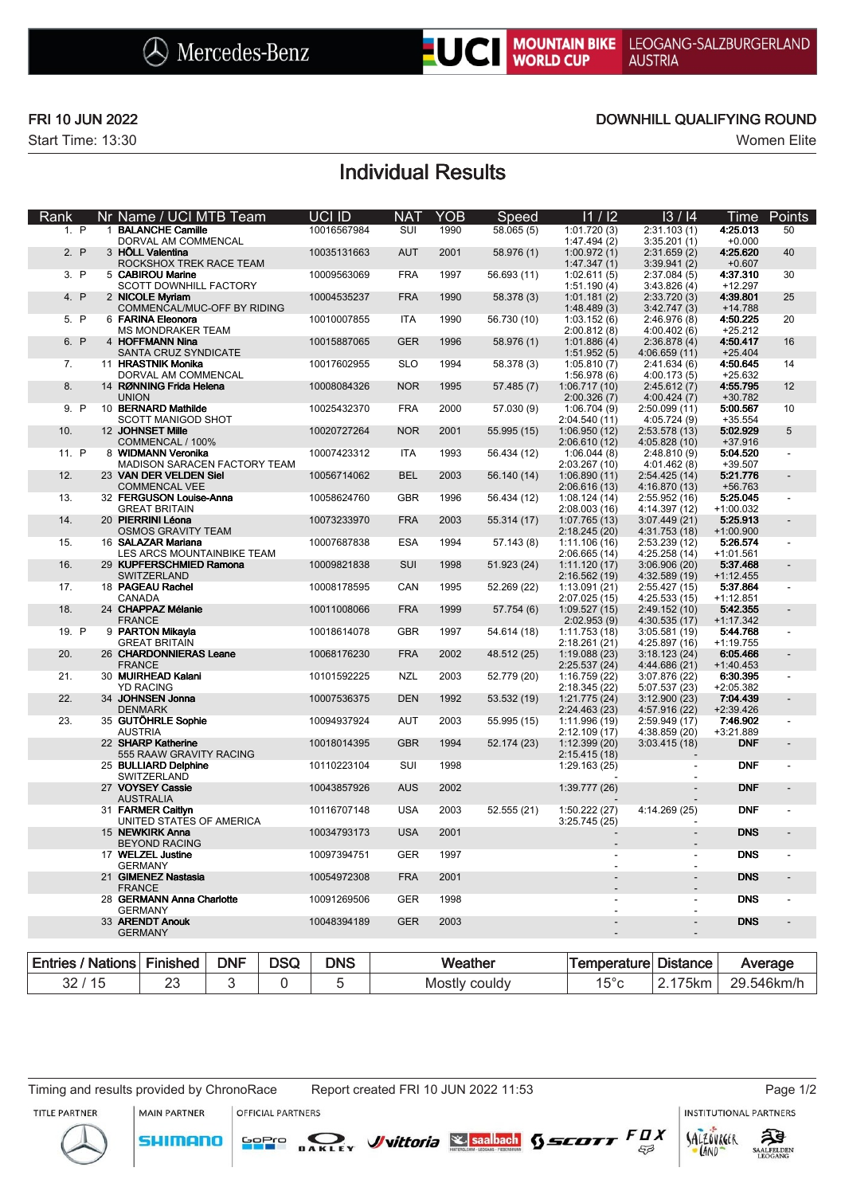

Start Time: 13:30 Women Elite

## FRI 10 JUN 2022 DOWNHILL QUALIFYING ROUND

# Individual Results

| Rank                                 |  | Nr Name / UCI MTB Team                                         |            |             | UCI ID      | <b>NAT</b>    | YOB  | Speed       | 11/12                          | 13/14                          | Time                    | Points     |
|--------------------------------------|--|----------------------------------------------------------------|------------|-------------|-------------|---------------|------|-------------|--------------------------------|--------------------------------|-------------------------|------------|
| 1. P                                 |  | 1 BALANCHE Camille<br>DORVAL AM COMMENCAL                      |            |             | 10016567984 | SUI           | 1990 | 58.065(5)   | 1:01.720(3)<br>1:47.494(2)     | 2:31.103(1)<br>3:35.201(1)     | 4:25.013<br>$+0.000$    | 50         |
| 2. P                                 |  | 3 HÖLL Valentina<br>ROCKSHOX TREK RACE TEAM                    |            |             | 10035131663 | <b>AUT</b>    | 2001 | 58.976 (1)  | 1:00.972(1)<br>1:47.347(1)     | 2:31.659(2)<br>3:39.941(2)     | 4:25.620<br>$+0.607$    | 40         |
| 3. P                                 |  | 5 CABIROU Marine<br><b>SCOTT DOWNHILL FACTORY</b>              |            |             | 10009563069 | <b>FRA</b>    | 1997 | 56.693 (11) | 1:02.611(5)<br>1:51.190(4)     | 2:37.084(5)<br>3:43.826(4)     | 4:37.310<br>$+12.297$   | 30         |
| 4. P                                 |  | 2 NICOLE Myriam<br>COMMENCAL/MUC-OFF BY RIDING                 |            |             | 10004535237 | <b>FRA</b>    | 1990 | 58.378 (3)  | 1:01.181(2)<br>1:48.489(3)     | 2:33.720(3)<br>3:42.747(3)     | 4:39.801<br>+14.788     | 25         |
| 5. P                                 |  | 6 FARINA Eleonora<br><b>MS MONDRAKER TEAM</b>                  |            |             | 10010007855 | <b>ITA</b>    | 1990 | 56.730 (10) | 1:03.152(6)<br>2:00.812(8)     | 2:46.976(8)<br>4:00.402(6)     | 4:50.225<br>$+25.212$   | 20         |
| 6. P                                 |  | 4 HOFFMANN Nina                                                |            |             | 10015887065 | <b>GER</b>    | 1996 | 58.976 (1)  | 1:01.886(4)                    | 2:36.878(4)                    | 4:50.417<br>$+25.404$   | 16         |
| 7.                                   |  | SANTA CRUZ SYNDICATE<br>11 HRASTNIK Monika                     |            |             | 10017602955 | <b>SLO</b>    | 1994 | 58.378 (3)  | 1:51.952(5)<br>1:05.810(7)     | 4:06.659(11)<br>2:41.634(6)    | 4:50.645                | 14         |
| 8.                                   |  | DORVAL AM COMMENCAL<br>14 RØNNING Frida Helena<br><b>UNION</b> |            |             | 10008084326 | <b>NOR</b>    | 1995 | 57.485 (7)  | 1:56.978(6)<br>1:06.717(10)    | 4:00.173(5)<br>2:45.612(7)     | $+25.632$<br>4:55.795   | 12         |
| 9. P                                 |  | 10 BERNARD Mathilde                                            |            |             | 10025432370 | <b>FRA</b>    | 2000 | 57.030 (9)  | 2:00.326(7)<br>1:06.704(9)     | 4:00.424(7)<br>2:50.099 (11)   | +30.782<br>5:00.567     | 10         |
| 10.                                  |  | SCOTT MANIGOD SHOT<br>12 JOHNSET Mille                         |            |             | 10020727264 | <b>NOR</b>    | 2001 | 55.995 (15) | 2:04.540 (11)<br>1:06.950(12)  | 4:05.724(9)<br>2:53.578 (13)   | $+35.554$<br>5:02.929   | $\sqrt{5}$ |
| 11. P                                |  | COMMENCAL / 100%<br>8 WIDMANN Veronika                         |            |             | 10007423312 | ITA           | 1993 | 56.434 (12) | 2:06.610 (12)<br>1:06.044(8)   | 4:05.828 (10)<br>2:48.810(9)   | $+37.916$<br>5:04.520   |            |
| 12.                                  |  | MADISON SARACEN FACTORY TEAM<br>23 VAN DER VELDEN Siel         |            |             | 10056714062 | <b>BEL</b>    | 2003 | 56.140 (14) | 2:03.267 (10)<br>1:06.890(11)  | 4:01.462(8)<br>2:54.425(14)    | +39.507<br>5:21.776     |            |
| 13.                                  |  | <b>COMMENCAL VEE</b><br>32 FERGUSON Louise-Anna                |            |             | 10058624760 | GBR           | 1996 | 56.434 (12) | 2:06.616 (13)<br>1:08.124(14)  | 4:16.870 (13)<br>2:55.952 (16) | +56.763<br>5:25.045     |            |
| 14.                                  |  | <b>GREAT BRITAIN</b><br>20 PIERRINI Léona                      |            |             | 10073233970 | <b>FRA</b>    | 2003 | 55.314 (17) | 2:08.003 (16)<br>1:07.765 (13) | 4:14.397 (12)<br>3:07.449(21)  | $+1:00.032$<br>5:25.913 |            |
| 15.                                  |  | <b>OSMOS GRAVITY TEAM</b><br>16 SALAZAR Mariana                |            |             | 10007687838 | <b>ESA</b>    | 1994 | 57.143(8)   | 2:18.245 (20)<br>1:11.106(16)  | 4:31.753 (18)<br>2:53.239 (12) | $+1:00.900$<br>5:26.574 |            |
| 16.                                  |  | LES ARCS MOUNTAINBIKE TEAM<br>29 KUPFERSCHMIED Ramona          |            |             | 10009821838 | SUI           | 1998 | 51.923 (24) | 2:06.665 (14)<br>1:11.120(17)  | 4:25.258 (14)<br>3:06.906(20)  | $+1:01.561$<br>5:37.468 |            |
| 17.                                  |  | SWITZERLAND<br>18 PAGEAU Rachel                                |            |             | 10008178595 | CAN           | 1995 |             | 2:16.562(19)<br>1:13.091(21)   | 4:32.589 (19)<br>2:55.427 (15) | $+1:12.455$<br>5:37.864 |            |
|                                      |  | CANADA                                                         |            |             |             |               |      | 52.269 (22) | 2:07.025 (15)                  | 4:25.533 (15)                  | $+1:12.851$             |            |
| 18.                                  |  | 24 CHAPPAZ Mélanie<br><b>FRANCE</b>                            |            |             | 10011008066 | <b>FRA</b>    | 1999 | 57.754 (6)  | 1:09.527(15)<br>2:02.953(9)    | 2:49.152 (10)<br>4:30.535 (17) | 5:42.355<br>$+1:17.342$ |            |
| 19. P                                |  | 9 PARTON Mikayla<br><b>GREAT BRITAIN</b>                       |            |             | 10018614078 | <b>GBR</b>    | 1997 | 54.614 (18) | 1:11.753(18)<br>2:18.261 (21)  | 3:05.581(19)<br>4:25.897 (16)  | 5:44.768<br>$+1:19.755$ |            |
| 20.                                  |  | 26 CHARDONNIERAS Leane<br><b>FRANCE</b>                        |            |             | 10068176230 | <b>FRA</b>    | 2002 | 48.512 (25) | 1:19.088(23)<br>2:25.537 (24)  | 3:18.123(24)<br>4:44.686 (21)  | 6:05.466<br>$+1:40.453$ |            |
| 21.                                  |  | 30 MUIRHEAD Kalani<br><b>YD RACING</b>                         |            |             | 10101592225 | <b>NZL</b>    | 2003 | 52.779 (20) | 1:16.759 (22)<br>2:18.345 (22) | 3:07.876 (22)<br>5:07.537 (23) | 6:30.395<br>+2:05.382   |            |
| 22.                                  |  | 34 JOHNSEN Jonna<br><b>DENMARK</b>                             |            |             | 10007536375 | <b>DEN</b>    | 1992 | 53.532 (19) | 1:21.775 (24)<br>2:24.463 (23) | 3:12.900(23)<br>4:57.916 (22)  | 7:04.439<br>$+2:39.426$ |            |
| 23.                                  |  | 35 GUTÖHRLE Sophie<br><b>AUSTRIA</b>                           |            |             | 10094937924 | <b>AUT</b>    | 2003 | 55.995 (15) | 1:11.996 (19)<br>2:12.109 (17) | 2:59.949 (17)<br>4:38.859 (20) | 7:46.902<br>+3:21.889   |            |
|                                      |  | 22 SHARP Katherine<br>555 RAAW GRAVITY RACING                  |            |             | 10018014395 | <b>GBR</b>    | 1994 | 52.174 (23) | 1:12.399(20)<br>2:15.415 (18)  | 3:03.415(18)                   | <b>DNF</b>              |            |
|                                      |  | 25 BULLIARD Delphine<br>SWITZERLAND                            |            |             | 10110223104 | SUI           | 1998 |             | 1:29.163 (25)                  |                                | <b>DNF</b>              |            |
|                                      |  | 27 VOYSEY Cassie<br><b>AUSTRALIA</b>                           |            |             | 10043857926 | <b>AUS</b>    | 2002 |             | 1:39.777(26)                   |                                | <b>DNF</b>              |            |
|                                      |  | 31 FARMER Caitlyn<br>UNITED STATES OF AMERICA                  |            |             | 10116707148 | <b>USA</b>    | 2003 | 52.555(21)  | 1:50.222 (27)<br>3:25.745(25)  | 4:14.269 (25)                  | <b>DNF</b>              |            |
|                                      |  | 15 NEWKIRK Anna                                                |            |             | 10034793173 | <b>USA</b>    | 2001 |             |                                | $\overline{\phantom{a}}$       | <b>DNS</b>              |            |
|                                      |  | <b>BEYOND RACING</b><br>17 WELZEL Justine<br><b>GERMANY</b>    |            |             | 10097394751 | <b>GER</b>    | 1997 |             |                                | $\frac{1}{2}$                  | <b>DNS</b>              |            |
| 21 GIMENEZ Nastasia<br><b>FRANCE</b> |  |                                                                |            | 10054972308 | <b>FRA</b>  | 2001          |      |             |                                | <b>DNS</b>                     |                         |            |
| 28 GERMANN Anna Charlotte            |  |                                                                |            | 10091269506 | <b>GER</b>  | 1998          |      |             |                                | <b>DNS</b>                     |                         |            |
| <b>GERMANY</b><br>33 ARENDT Anouk    |  |                                                                |            |             | 10048394189 | <b>GER</b>    | 2003 |             |                                |                                | <b>DNS</b>              |            |
| <b>GERMANY</b>                       |  |                                                                |            |             |             |               |      |             |                                |                                |                         |            |
| <b>Entries / Nations</b>             |  | <b>Finished</b>                                                | <b>DNF</b> | <b>DSQ</b>  | <b>DNS</b>  | Weather       |      | Temperature | <b>Distance</b>                |                                | Average                 |            |
| 32/15                                |  | 23                                                             | 3          | 0           | 5           | Mostly couldy |      |             | $15^{\circ}$ c                 | 2.175km                        | 29.546km/h              |            |

Timing and results provided by ChronoRace Report created FRI 10 JUN 2022 11:53 Page 1/2

OFFICIAL PARTNERS

TITLE PARTNER

**SHIMANO** 

MAIN PARTNER

SOPIO DAKLEY Vittoria & saabach SSCOTT FUX

INSTITUTIONAL PARTNERS



 $53$